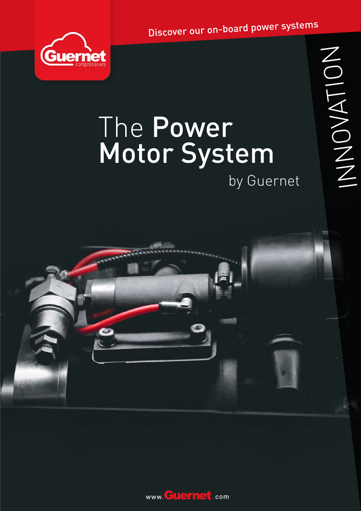Discover our on-board power systems



## The Power **Motor System** by Guernet

NOVATION



www. Guernet.com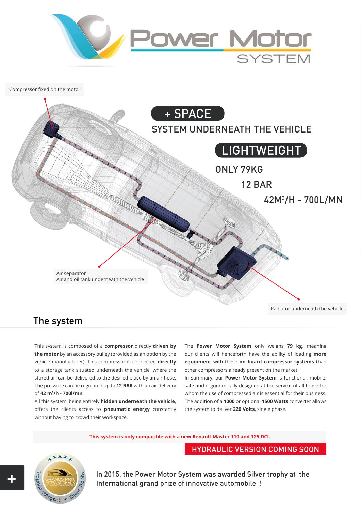

Compressor fixed on the motor



### The system

This system is composed of a **compressor** directly **driven by the motor** by an accessory pulley (provided as an option by the vehicle manufacturer). This compressor is connected **directly** to a storage tank situated underneath the vehicle, where the stored air can be delivered to the desired place by an air hose. The pressure can be regulated up to **12 BAR** with an air delivery of **42 m3 /h - 700l/mn**.

All this system, being entirely **hidden underneath the vehicle**, offers the clients access to **pneumatic energy** constantly without having to crowd their workspace.

The **Power Motor System** only weighs **79 kg**, meaning our clients will henceforth have the ability of loading **more equipment** with these **on board compressor systems** than other compressors already present on the market.

In summary, our **Power Motor System** is functional, mobile, safe and ergonomically designed at the service of all those for whom the use of compressed air is essential for their business. The addition of a **1000** or optional **1500 Watts** converter allows the system to deliver **220 Volts**, single phase.

**This system is only compatible with a new Renault Master 110 and 125 DCI.**

HYDRAULIC VERSION COMING SOON



In 2015, the Power Motor System was awarded Silver trophy at the International grand prize of innovative automobile !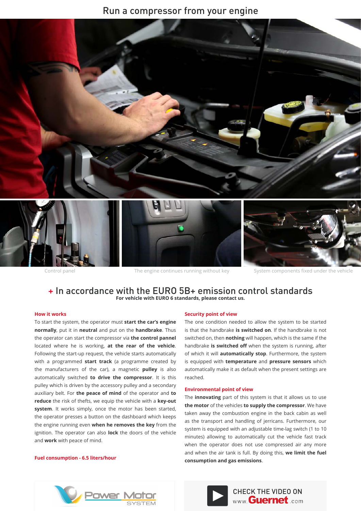#### Run a compressor from your engine



Control panel The engine continues running without key System components fixed under the vehicle

#### + In accordance with the EURO 5B+ emission control standards **For vehicle with EURO 6 standards, please contact us.**

#### **How it works**

To start the system, the operator must **start the car's engine normally**, put it in **neutral** and put on the **handbrake**. Thus the operator can start the compressor via **the control pannel**  located where he is working, **at the rear of the vehicle**. Following the start-up request, the vehicle starts automatically with a programmed **start track** (a programme created by the manufacturers of the car), a magnetic **pulley** is also automatically switched **to drive the compressor**. It is this pulley which is driven by the accessory pulley and a secondary auxiliary belt. For **the peace of mind** of the operator and **to reduce** the risk of thefts, we equip the vehicle with a **key-out system**. It works simply, once the motor has been started, the operator presses a button on the dashboard which keeps the engine running even **when he removes the key** from the ignition. The operator can also **lock** the doors of the vehicle and **work** with peace of mind.



The one condition needed to allow the system to be started is that the handbrake **is switched on**. If the handbrake is not switched on, then **nothing** will happen, which is the same if the handbrake **is switched off** when the system is running, after of which it will **automatically stop**. Furthermore, the system is equipped with **temperature** and **pressure sensors** which automatically make it as default when the present settings are reached.

#### **Environmental point of view**

The **innovating** part of this system is that it allows us to use **the motor** of the vehicles **to supply the compressor**. We have taken away the combustion engine in the back cabin as well as the transport and handling of jerricans. Furthermore, our system is equipped with an adjustable time-lag switch (1 to 10 minutes) allowing to automatically cut the vehicle fast track when the operator does not use compressed air any more and when the air tank is full. By doing this, **we limit the fuel Fuel consumption - 6.5 liters/hour**<br>consumption and gas emissions.